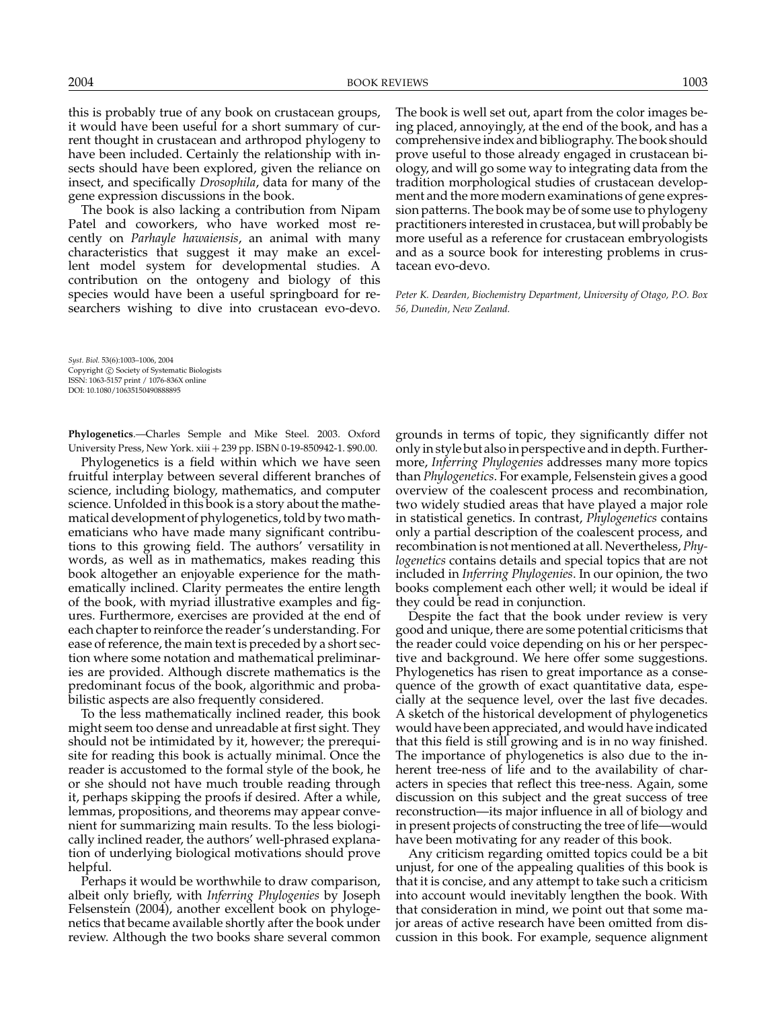this is probably true of any book on crustacean groups, it would have been useful for a short summary of current thought in crustacean and arthropod phylogeny to have been included. Certainly the relationship with insects should have been explored, given the reliance on insect, and specifically *Drosophila*, data for many of the gene expression discussions in the book.

The book is also lacking a contribution from Nipam Patel and coworkers, who have worked most recently on *Parhayle hawaiensis*, an animal with many characteristics that suggest it may make an excellent model system for developmental studies. A contribution on the ontogeny and biology of this species would have been a useful springboard for researchers wishing to dive into crustacean evo-devo.

*Syst. Biol.* 53(6):1003–1006, 2004 Copyright C Society of Systematic Biologists ISSN: 1063-5157 print / 1076-836X online DOI: 10.1080/10635150490888895

**Phylogenetics**.—Charles Semple and Mike Steel. 2003. Oxford University Press, New York. xiii + 239 pp. ISBN 0-19-850942-1. \$90.00.

Phylogenetics is a field within which we have seen fruitful interplay between several different branches of science, including biology, mathematics, and computer science. Unfolded in this book is a story about the mathematical development of phylogenetics, told by two mathematicians who have made many significant contributions to this growing field. The authors' versatility in words, as well as in mathematics, makes reading this book altogether an enjoyable experience for the mathematically inclined. Clarity permeates the entire length of the book, with myriad illustrative examples and figures. Furthermore, exercises are provided at the end of each chapter to reinforce the reader's understanding. For ease of reference, the main text is preceded by a short section where some notation and mathematical preliminaries are provided. Although discrete mathematics is the predominant focus of the book, algorithmic and probabilistic aspects are also frequently considered.

To the less mathematically inclined reader, this book might seem too dense and unreadable at first sight. They should not be intimidated by it, however; the prerequisite for reading this book is actually minimal. Once the reader is accustomed to the formal style of the book, he or she should not have much trouble reading through it, perhaps skipping the proofs if desired. After a while, lemmas, propositions, and theorems may appear convenient for summarizing main results. To the less biologically inclined reader, the authors' well-phrased explanation of underlying biological motivations should prove helpful.

Perhaps it would be worthwhile to draw comparison, albeit only briefly, with *Inferring Phylogenies* by Joseph Felsenstein (2004), another excellent book on phylogenetics that became available shortly after the book under review. Although the two books share several common

The book is well set out, apart from the color images being placed, annoyingly, at the end of the book, and has a comprehensive index and bibliography. The book should prove useful to those already engaged in crustacean biology, and will go some way to integrating data from the tradition morphological studies of crustacean development and the more modern examinations of gene expression patterns. The book may be of some use to phylogeny practitioners interested in crustacea, but will probably be more useful as a reference for crustacean embryologists and as a source book for interesting problems in crustacean evo-devo.

*Peter K. Dearden, Biochemistry Department, University of Otago, P.O. Box 56, Dunedin, New Zealand.*

grounds in terms of topic, they significantly differ not only in style but also in perspective and in depth. Furthermore, *Inferring Phylogenies* addresses many more topics than *Phylogenetics*. For example, Felsenstein gives a good overview of the coalescent process and recombination, two widely studied areas that have played a major role in statistical genetics. In contrast, *Phylogenetics* contains only a partial description of the coalescent process, and recombination is not mentioned at all. Nevertheless, *Phylogenetics* contains details and special topics that are not included in *Inferring Phylogenies*. In our opinion, the two books complement each other well; it would be ideal if they could be read in conjunction.

Despite the fact that the book under review is very good and unique, there are some potential criticisms that the reader could voice depending on his or her perspective and background. We here offer some suggestions. Phylogenetics has risen to great importance as a consequence of the growth of exact quantitative data, especially at the sequence level, over the last five decades. A sketch of the historical development of phylogenetics would have been appreciated, and would have indicated that this field is still growing and is in no way finished. The importance of phylogenetics is also due to the inherent tree-ness of life and to the availability of characters in species that reflect this tree-ness. Again, some discussion on this subject and the great success of tree reconstruction—its major influence in all of biology and in present projects of constructing the tree of life—would have been motivating for any reader of this book.

Any criticism regarding omitted topics could be a bit unjust, for one of the appealing qualities of this book is that it is concise, and any attempt to take such a criticism into account would inevitably lengthen the book. With that consideration in mind, we point out that some major areas of active research have been omitted from discussion in this book. For example, sequence alignment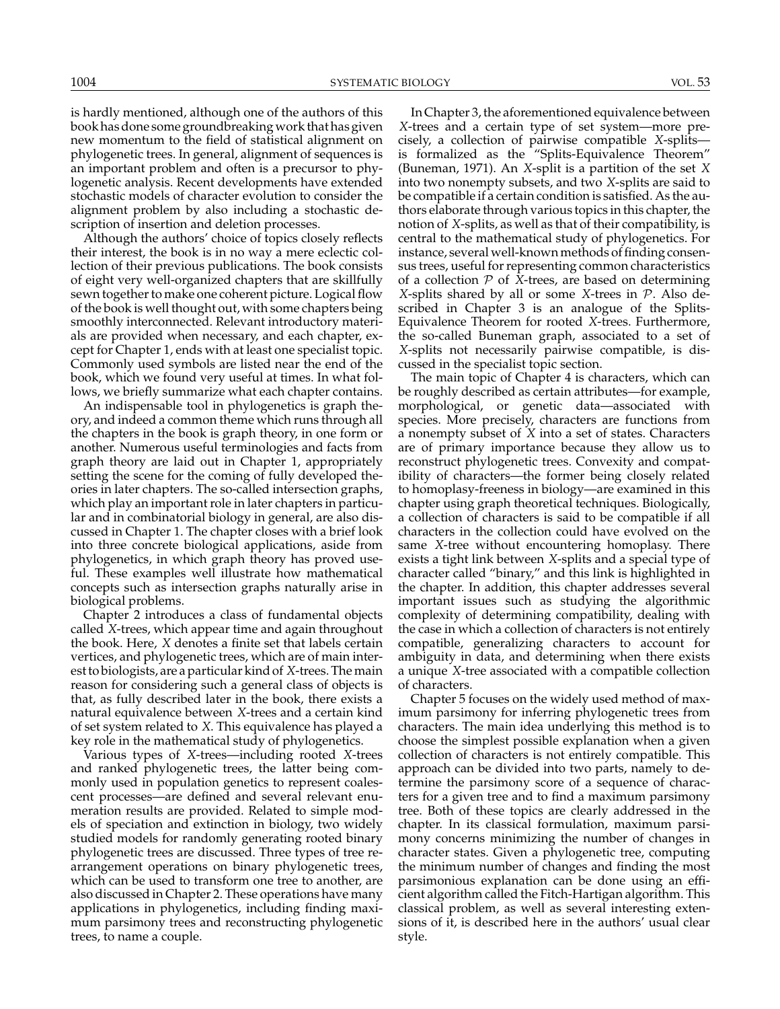is hardly mentioned, although one of the authors of this book has done some groundbreaking work that has given new momentum to the field of statistical alignment on phylogenetic trees. In general, alignment of sequences is an important problem and often is a precursor to phylogenetic analysis. Recent developments have extended stochastic models of character evolution to consider the alignment problem by also including a stochastic description of insertion and deletion processes.

Although the authors' choice of topics closely reflects their interest, the book is in no way a mere eclectic collection of their previous publications. The book consists of eight very well-organized chapters that are skillfully sewn together to make one coherent picture. Logical flow of the book is well thought out, with some chapters being smoothly interconnected. Relevant introductory materials are provided when necessary, and each chapter, except for Chapter 1, ends with at least one specialist topic. Commonly used symbols are listed near the end of the book, which we found very useful at times. In what follows, we briefly summarize what each chapter contains.

An indispensable tool in phylogenetics is graph theory, and indeed a common theme which runs through all the chapters in the book is graph theory, in one form or another. Numerous useful terminologies and facts from graph theory are laid out in Chapter 1, appropriately setting the scene for the coming of fully developed theories in later chapters. The so-called intersection graphs, which play an important role in later chapters in particular and in combinatorial biology in general, are also discussed in Chapter 1. The chapter closes with a brief look into three concrete biological applications, aside from phylogenetics, in which graph theory has proved useful. These examples well illustrate how mathematical concepts such as intersection graphs naturally arise in biological problems.

Chapter 2 introduces a class of fundamental objects called *X*-trees, which appear time and again throughout the book. Here, *X* denotes a finite set that labels certain vertices, and phylogenetic trees, which are of main interest to biologists, are a particular kind of *X*-trees. The main reason for considering such a general class of objects is that, as fully described later in the book, there exists a natural equivalence between *X*-trees and a certain kind of set system related to *X*. This equivalence has played a key role in the mathematical study of phylogenetics.

Various types of *X*-trees—including rooted *X*-trees and ranked phylogenetic trees, the latter being commonly used in population genetics to represent coalescent processes—are defined and several relevant enumeration results are provided. Related to simple models of speciation and extinction in biology, two widely studied models for randomly generating rooted binary phylogenetic trees are discussed. Three types of tree rearrangement operations on binary phylogenetic trees, which can be used to transform one tree to another, are also discussed in Chapter 2. These operations have many applications in phylogenetics, including finding maximum parsimony trees and reconstructing phylogenetic trees, to name a couple.

In Chapter 3, the aforementioned equivalence between *X*-trees and a certain type of set system—more precisely, a collection of pairwise compatible *X*-splits is formalized as the "Splits-Equivalence Theorem" (Buneman, 1971). An *X*-split is a partition of the set *X* into two nonempty subsets, and two *X*-splits are said to be compatible if a certain condition is satisfied. As the authors elaborate through various topics in this chapter, the notion of *X*-splits, as well as that of their compatibility, is central to the mathematical study of phylogenetics. For instance, several well-known methods of finding consensus trees, useful for representing common characteristics of a collection  $P$  of  $\bar{X}$ -trees, are based on determining *X*-splits shared by all or some *X*-trees in P. Also described in Chapter 3 is an analogue of the Splits-Equivalence Theorem for rooted *X*-trees. Furthermore, the so-called Buneman graph, associated to a set of *X*-splits not necessarily pairwise compatible, is discussed in the specialist topic section.

The main topic of Chapter 4 is characters, which can be roughly described as certain attributes—for example, morphological, or genetic data—associated with species. More precisely, characters are functions from a nonempty subset of *X* into a set of states. Characters are of primary importance because they allow us to reconstruct phylogenetic trees. Convexity and compatibility of characters—the former being closely related to homoplasy-freeness in biology—are examined in this chapter using graph theoretical techniques. Biologically, a collection of characters is said to be compatible if all characters in the collection could have evolved on the same *X*-tree without encountering homoplasy. There exists a tight link between *X*-splits and a special type of character called "binary," and this link is highlighted in the chapter. In addition, this chapter addresses several important issues such as studying the algorithmic complexity of determining compatibility, dealing with the case in which a collection of characters is not entirely compatible, generalizing characters to account for ambiguity in data, and determining when there exists a unique *X*-tree associated with a compatible collection of characters.

Chapter 5 focuses on the widely used method of maximum parsimony for inferring phylogenetic trees from characters. The main idea underlying this method is to choose the simplest possible explanation when a given collection of characters is not entirely compatible. This approach can be divided into two parts, namely to determine the parsimony score of a sequence of characters for a given tree and to find a maximum parsimony tree. Both of these topics are clearly addressed in the chapter. In its classical formulation, maximum parsimony concerns minimizing the number of changes in character states. Given a phylogenetic tree, computing the minimum number of changes and finding the most parsimonious explanation can be done using an efficient algorithm called the Fitch-Hartigan algorithm. This classical problem, as well as several interesting extensions of it, is described here in the authors' usual clear style.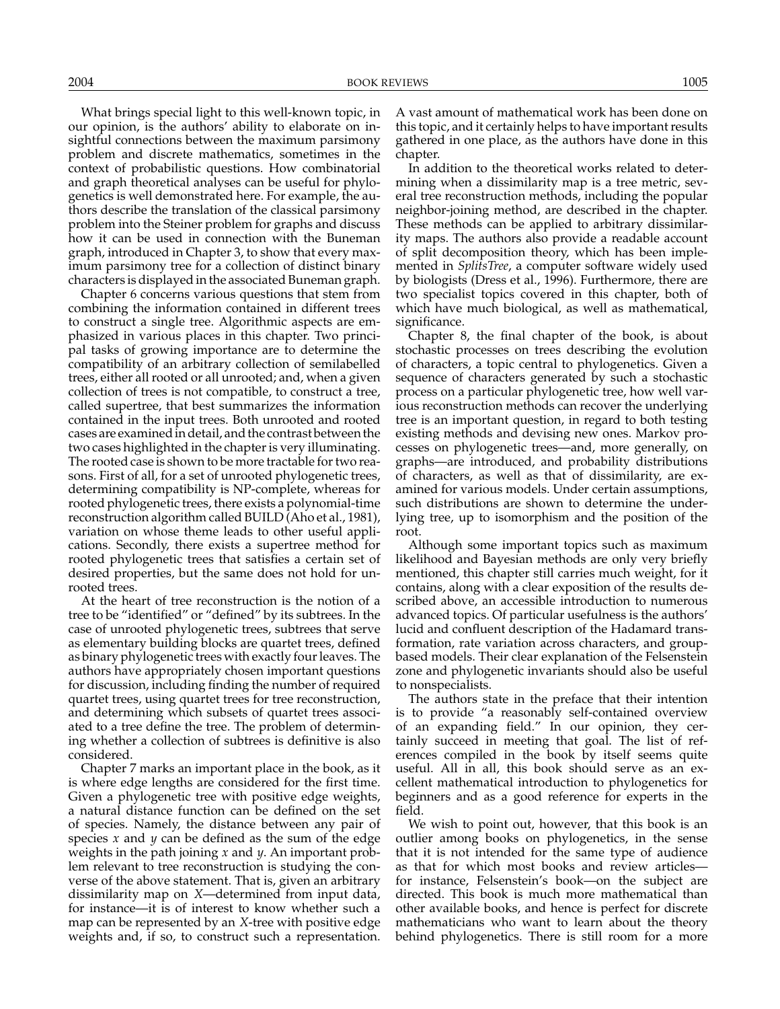What brings special light to this well-known topic, in our opinion, is the authors' ability to elaborate on insightful connections between the maximum parsimony problem and discrete mathematics, sometimes in the context of probabilistic questions. How combinatorial and graph theoretical analyses can be useful for phylogenetics is well demonstrated here. For example, the authors describe the translation of the classical parsimony problem into the Steiner problem for graphs and discuss how it can be used in connection with the Buneman graph, introduced in Chapter 3, to show that every maximum parsimony tree for a collection of distinct binary characters is displayed in the associated Buneman graph.

Chapter 6 concerns various questions that stem from combining the information contained in different trees to construct a single tree. Algorithmic aspects are emphasized in various places in this chapter. Two principal tasks of growing importance are to determine the compatibility of an arbitrary collection of semilabelled trees, either all rooted or all unrooted; and, when a given collection of trees is not compatible, to construct a tree, called supertree, that best summarizes the information contained in the input trees. Both unrooted and rooted cases are examined in detail, and the contrast between the two cases highlighted in the chapter is very illuminating. The rooted case is shown to be more tractable for two reasons. First of all, for a set of unrooted phylogenetic trees, determining compatibility is NP-complete, whereas for rooted phylogenetic trees, there exists a polynomial-time reconstruction algorithm called BUILD (Aho et al., 1981), variation on whose theme leads to other useful applications. Secondly, there exists a supertree method for rooted phylogenetic trees that satisfies a certain set of desired properties, but the same does not hold for unrooted trees.

At the heart of tree reconstruction is the notion of a tree to be "identified" or "defined" by its subtrees. In the case of unrooted phylogenetic trees, subtrees that serve as elementary building blocks are quartet trees, defined as binary phylogenetic trees with exactly four leaves. The authors have appropriately chosen important questions for discussion, including finding the number of required quartet trees, using quartet trees for tree reconstruction, and determining which subsets of quartet trees associated to a tree define the tree. The problem of determining whether a collection of subtrees is definitive is also considered.

Chapter 7 marks an important place in the book, as it is where edge lengths are considered for the first time. Given a phylogenetic tree with positive edge weights, a natural distance function can be defined on the set of species. Namely, the distance between any pair of species *x* and *y* can be defined as the sum of the edge weights in the path joining *x* and *y*. An important problem relevant to tree reconstruction is studying the converse of the above statement. That is, given an arbitrary dissimilarity map on *X*—determined from input data, for instance—it is of interest to know whether such a map can be represented by an *X*-tree with positive edge weights and, if so, to construct such a representation.

A vast amount of mathematical work has been done on this topic, and it certainly helps to have important results gathered in one place, as the authors have done in this chapter.

In addition to the theoretical works related to determining when a dissimilarity map is a tree metric, several tree reconstruction methods, including the popular neighbor-joining method, are described in the chapter. These methods can be applied to arbitrary dissimilarity maps. The authors also provide a readable account of split decomposition theory, which has been implemented in *SplitsTree*, a computer software widely used by biologists (Dress et al., 1996). Furthermore, there are two specialist topics covered in this chapter, both of which have much biological, as well as mathematical, significance.

Chapter 8, the final chapter of the book, is about stochastic processes on trees describing the evolution of characters, a topic central to phylogenetics. Given a sequence of characters generated by such a stochastic process on a particular phylogenetic tree, how well various reconstruction methods can recover the underlying tree is an important question, in regard to both testing existing methods and devising new ones. Markov processes on phylogenetic trees—and, more generally, on graphs—are introduced, and probability distributions of characters, as well as that of dissimilarity, are examined for various models. Under certain assumptions, such distributions are shown to determine the underlying tree, up to isomorphism and the position of the root.

Although some important topics such as maximum likelihood and Bayesian methods are only very briefly mentioned, this chapter still carries much weight, for it contains, along with a clear exposition of the results described above, an accessible introduction to numerous advanced topics. Of particular usefulness is the authors' lucid and confluent description of the Hadamard transformation, rate variation across characters, and groupbased models. Their clear explanation of the Felsenstein zone and phylogenetic invariants should also be useful to nonspecialists.

The authors state in the preface that their intention is to provide "a reasonably self-contained overview of an expanding field." In our opinion, they certainly succeed in meeting that goal. The list of references compiled in the book by itself seems quite useful. All in all, this book should serve as an excellent mathematical introduction to phylogenetics for beginners and as a good reference for experts in the field.

We wish to point out, however, that this book is an outlier among books on phylogenetics, in the sense that it is not intended for the same type of audience as that for which most books and review articles for instance, Felsenstein's book—on the subject are directed. This book is much more mathematical than other available books, and hence is perfect for discrete mathematicians who want to learn about the theory behind phylogenetics. There is still room for a more